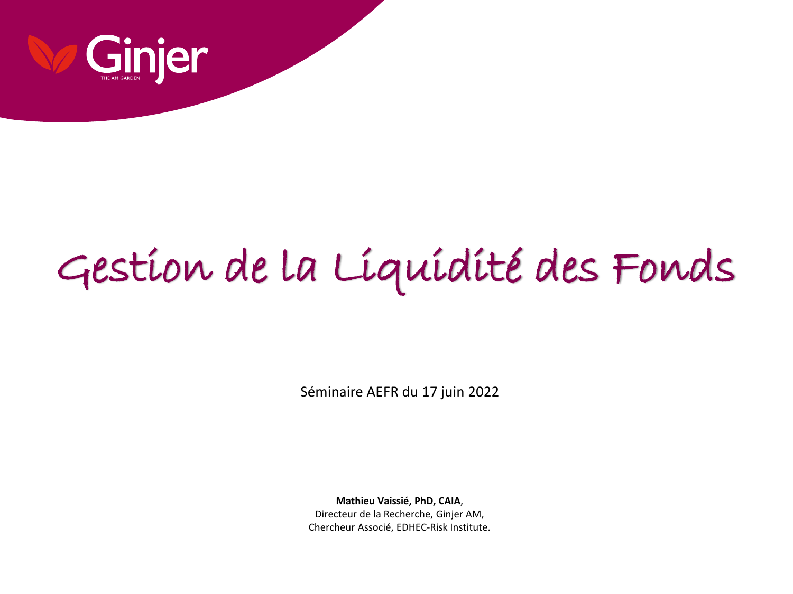

# Gestion de la Liquidité des Fonds

Séminaire AEFR du 17 juin 2022

**Mathieu Vaissié, PhD, CAIA**, Directeur de la Recherche, Ginjer AM, Chercheur Associé, EDHEC-Risk Institute.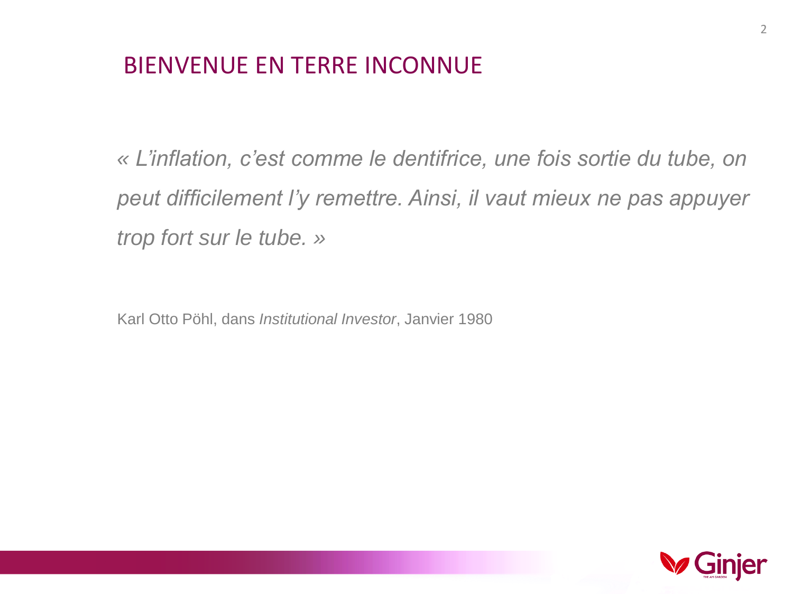## BIENVENUE EN TERRE INCONNUE

*« L'inflation, c'est comme le dentifrice, une fois sortie du tube, on peut difficilement l'y remettre. Ainsi, il vaut mieux ne pas appuyer trop fort sur le tube. »*

Karl Otto Pöhl, dans *Institutional Investor*, Janvier 1980

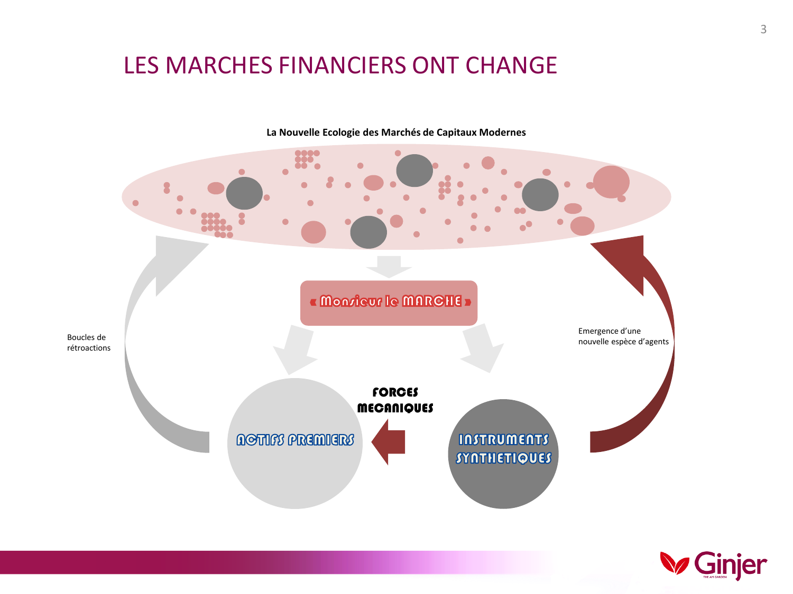#### LES MARCHES FINANCIERS ONT CHANGE



**La Nouvelle Ecologie des Marchés de Capitaux Modernes**

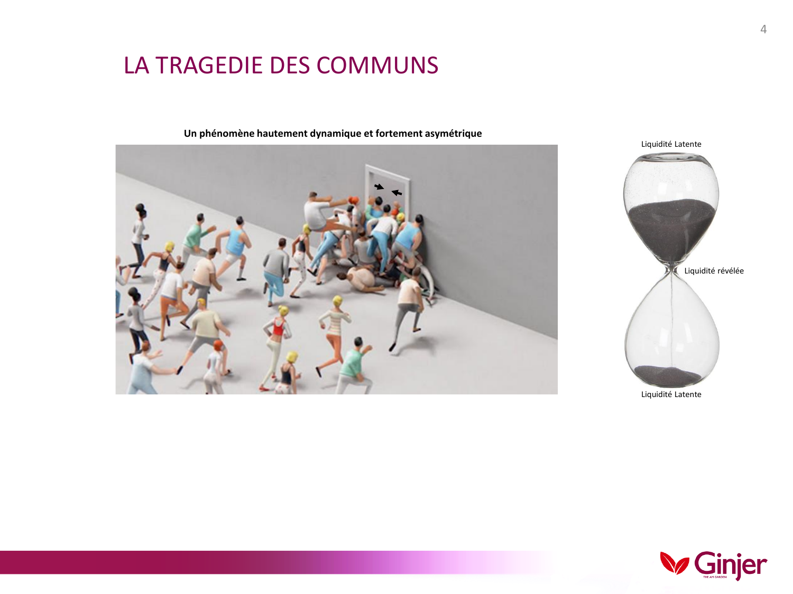## LA TRAGEDIE DES COMMUNS

**Un phénomène hautement dynamique et fortement asymétrique**



Liquidité Latente Liquidité Latente Liquidité révélée

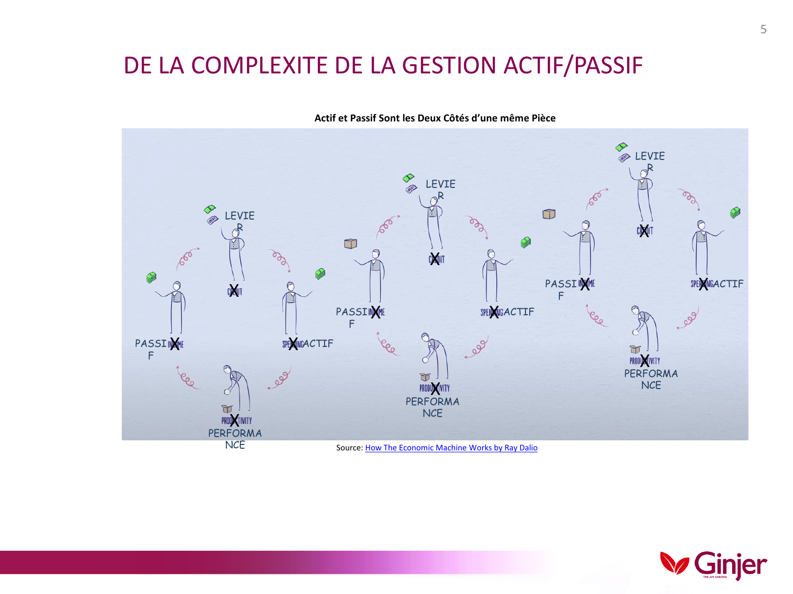## DE LA COMPLEXITE DE LA GESTION ACTIF/PASSIF



**Actif et Passif Sont les Deux Côtés d'une même Pièce**

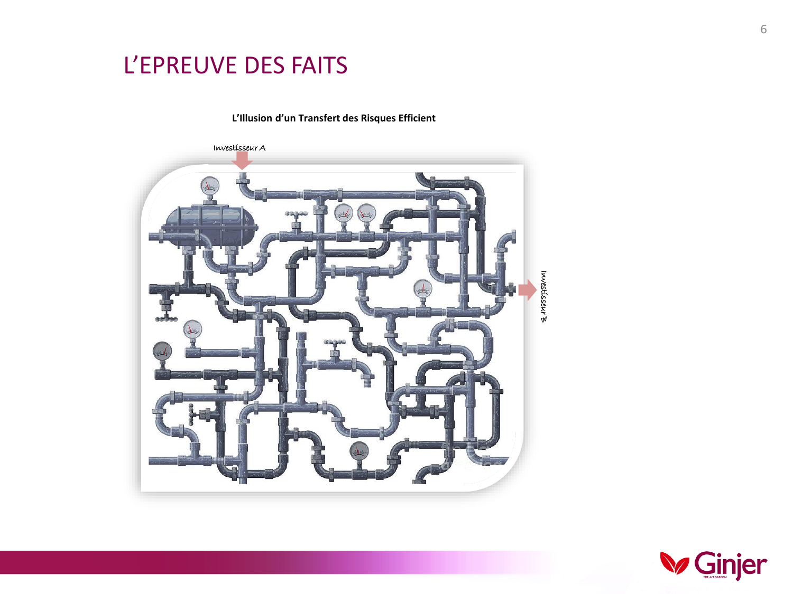## L'EPREUVE DES FAITS

**L'Illusion d'un Transfert des Risques Efficient**



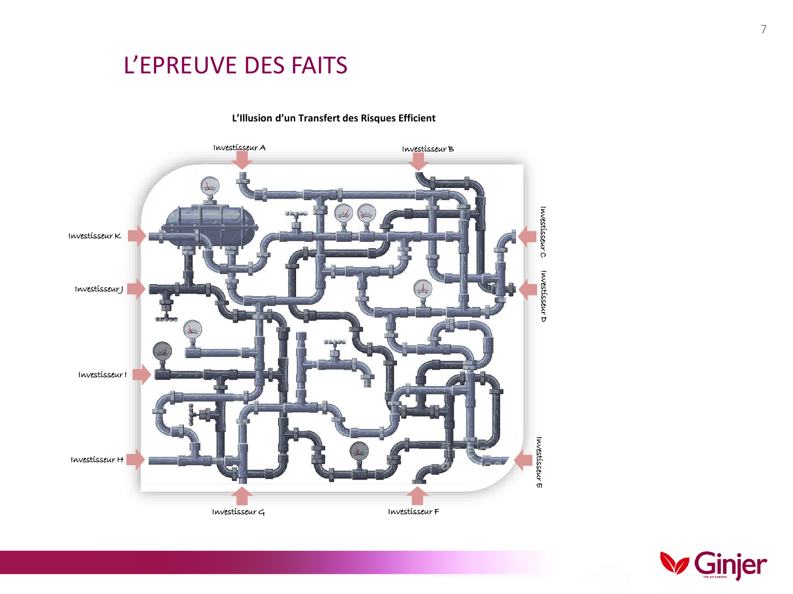## L'EPREUVE DES FAITS



**L'Illusion d'un Transfert des Risques Efficient**

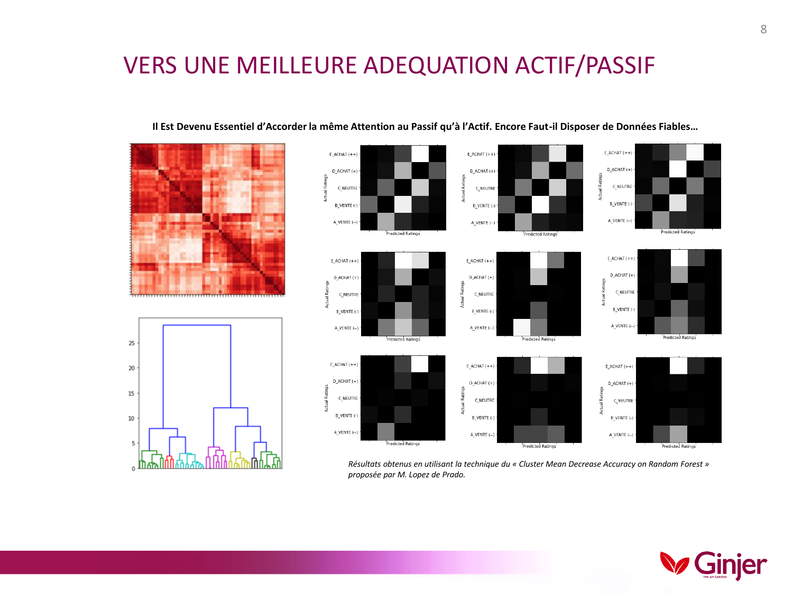## VERS UNE MEILLEURE ADEQUATION ACTIF/PASSIF

25

20

15

 $10$ 

5

 $\epsilon$  multiply  $\epsilon$ 



**Il Est Devenu Essentiel d'Accorder la même Attention au Passif qu'à l'Actif. Encore Faut-il Disposer de Données Fiables…** 

*Résultats obtenus en utilisant la technique du « Cluster Mean Decrease Accuracy on Random Forest » proposée par M. Lopez de Prado.* 

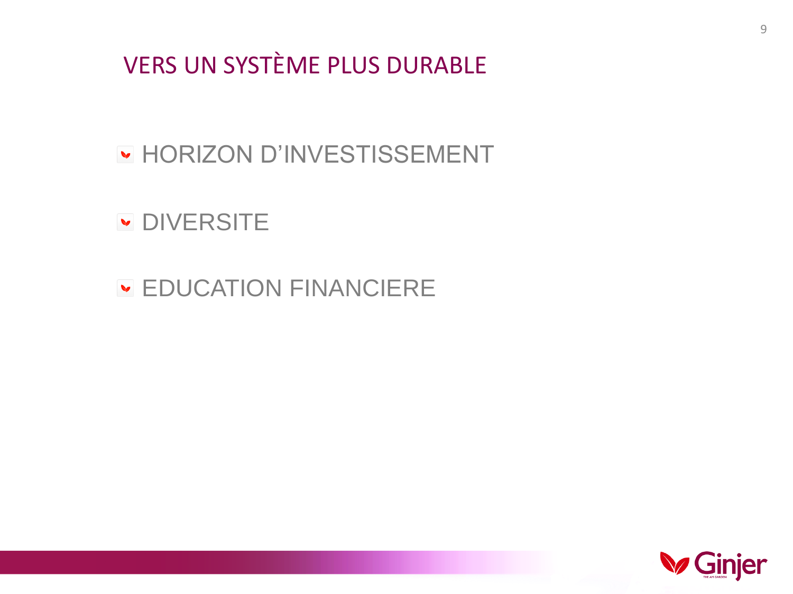## VERS UN SYSTÈME PLUS DURABLE

## **GENERAL D'INVESTISSEMENT**

## **DIVERSITE**

## **EDUCATION FINANCIERE**

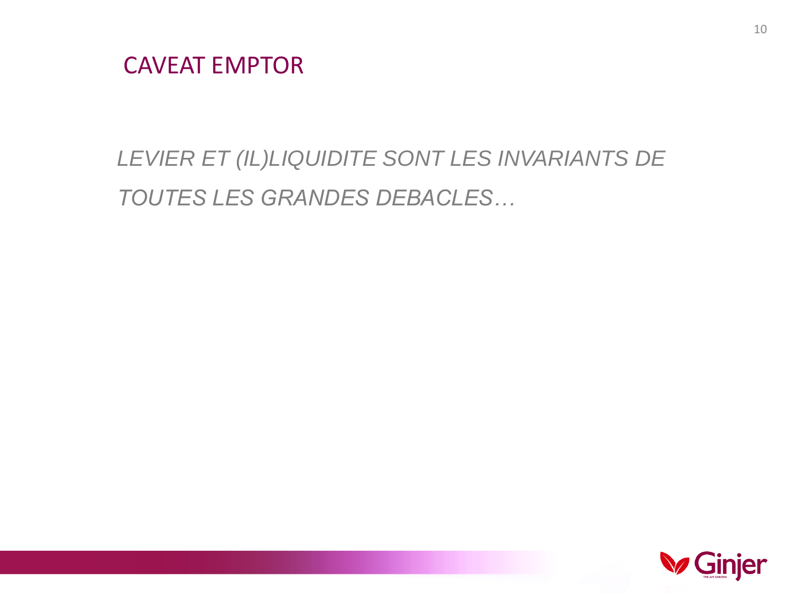#### CAVEAT EMPTOR

## *LEVIER ET (IL)LIQUIDITE SONT LES INVARIANTS DE TOUTES LES GRANDES DEBACLES…*